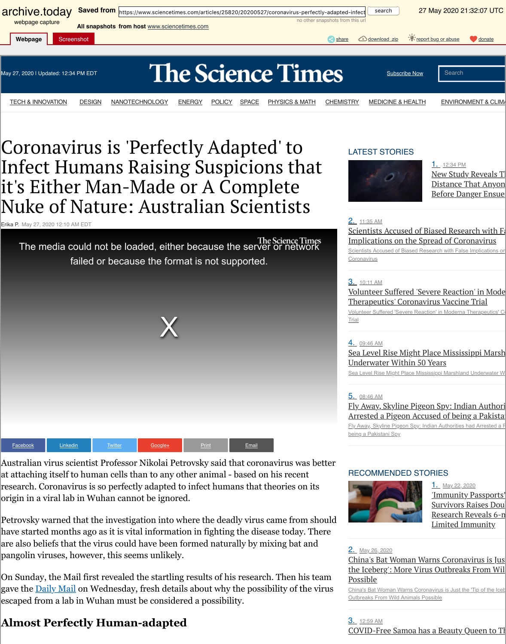[fa](http://archive.today/)iled or because the format is not supported.





Australian virus scientist Professor Nikolai Petrovsky said that coronavirus w at attaching itself to human cells than to any other animal - based on his rece research. Coronavirus is so perfectly adapted to infect humans that theories on origin in a viral lab in Wuhan cannot be ignored.

Petrovsky warned that the investigation into where the deadly virus came from have started months ago as it is vital information in fighting the disease today are also beliefs that the virus could have been formed naturally by mixing bat pangolin viruses, however, this seems unlikely.

On Sunday, the Mail first revealed the startling results of his research. Then h gave the **Daily Mail** on Wednesday, fresh details about why the possibility of t escaped from a lab in Wuhan must be considered a possibility.

## **Almost Perfectly Human-adapted**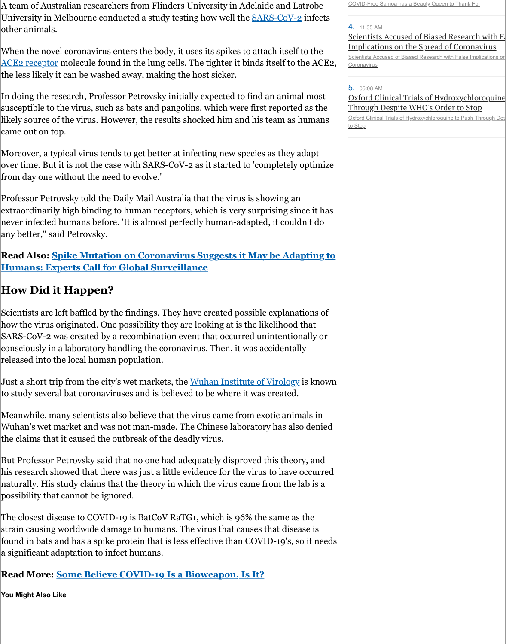**Read Also: Spike Mutation on Coronavirus Suggests it May be Adapting to Humans: Experts Call for Global Surveillance**

## **How Did it Happen?**

[Scientists are le](https://archive.is/o/xObt8/https://www.ncbi.nlm.nih.gov/pmc/articles/PMC1287568/)ft baffled by the findings. They have created possible explanat how the virus originated. One possibility they are looking at is the likelihood SARS-CoV-2 was created by a recombination event that occurred unintention consciously in a laboratory handling the coronavirus. Then, it was accidentall released into the local human population.

Just a short trip from the city's wet markets, the Wuhan Institute of Virology to study several bat coronaviruses and is believed to be where it was created.

Meanwhile, many scientists also believe that the virus came from exotic anim Wuhan's wet market and was not man-made. The Chinese laboratory has also the claims that it caused the outbreak of the deadly virus.

But Professor Petrovsky said that no one had adequately disproved this theor his research showed that there was just a little evidence for the virus to have o naturally. His study claims that the theory in which the virus came from the l possibility that cannot be ignored.

The closest disease to COVID-19 is BatCoV RaTG1, which is 96% the same as strain causing worldwide damage to humans. The virus that causes that disea found in bats and has a spike protein that is less effective than COVID-19's, so a significant adaptation to infect humans.

### **Read More: Some Believe COVID-19 Is a Bioweapon, Is It?**

**You Might Also Like**